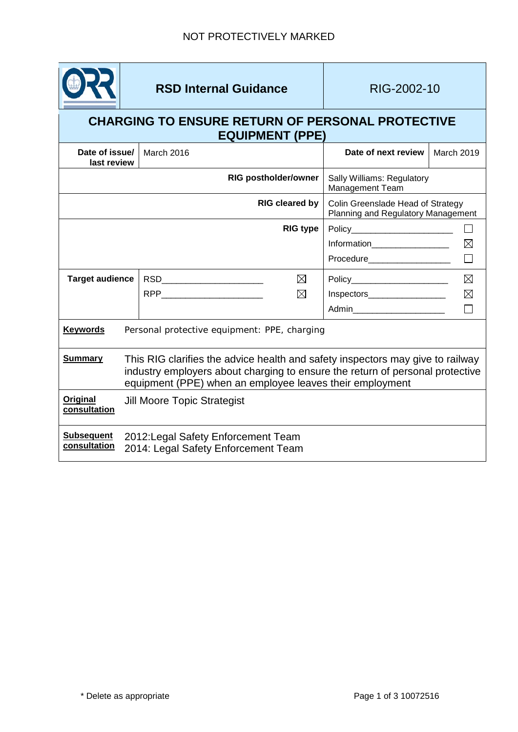

## **RSD Internal Guidance** RIG-2002-10

## **CHARGING TO ENSURE RETURN OF PERSONAL PROTECTIVE EQUIPMENT (PPE)**

| Date of issue/<br>last review     |                                                                                                                                                                                                                             | March 2016                                                                 | Date of next review                                                     | March 2019  |
|-----------------------------------|-----------------------------------------------------------------------------------------------------------------------------------------------------------------------------------------------------------------------------|----------------------------------------------------------------------------|-------------------------------------------------------------------------|-------------|
|                                   |                                                                                                                                                                                                                             | <b>RIG postholder/owner</b>                                                | Sally Williams: Regulatory<br>Management Team                           |             |
|                                   |                                                                                                                                                                                                                             | <b>RIG cleared by</b>                                                      | Colin Greenslade Head of Strategy<br>Planning and Regulatory Management |             |
|                                   |                                                                                                                                                                                                                             | <b>RIG type</b>                                                            | Policy________________________                                          | $\Box$      |
|                                   |                                                                                                                                                                                                                             |                                                                            | Information___________________                                          | $\boxtimes$ |
|                                   |                                                                                                                                                                                                                             |                                                                            | Procedure____________________                                           | П           |
| <b>Target audience</b>            |                                                                                                                                                                                                                             | ⊠<br>RSD__________________________                                         | Policy_________________________                                         | $\boxtimes$ |
|                                   |                                                                                                                                                                                                                             | $\boxtimes$                                                                | Inspectors___________________                                           | $\boxtimes$ |
|                                   |                                                                                                                                                                                                                             |                                                                            | Admin_________________________                                          |             |
| <b>Keywords</b>                   |                                                                                                                                                                                                                             | Personal protective equipment: PPE, charging                               |                                                                         |             |
| <b>Summary</b>                    | This RIG clarifies the advice health and safety inspectors may give to railway<br>industry employers about charging to ensure the return of personal protective<br>equipment (PPE) when an employee leaves their employment |                                                                            |                                                                         |             |
| Original<br>consultation          |                                                                                                                                                                                                                             | <b>Jill Moore Topic Strategist</b>                                         |                                                                         |             |
| <b>Subsequent</b><br>consultation |                                                                                                                                                                                                                             | 2012: Legal Safety Enforcement Team<br>2014: Legal Safety Enforcement Team |                                                                         |             |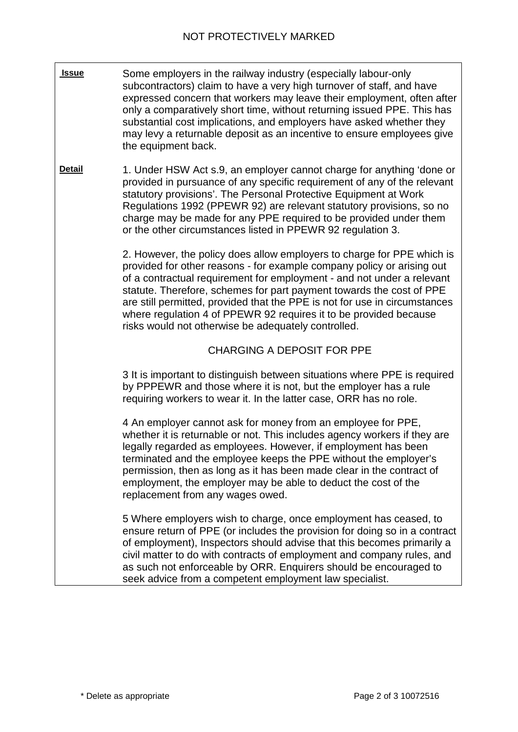| <b>Issue</b>  | Some employers in the railway industry (especially labour-only<br>subcontractors) claim to have a very high turnover of staff, and have<br>expressed concern that workers may leave their employment, often after<br>only a comparatively short time, without returning issued PPE. This has<br>substantial cost implications, and employers have asked whether they<br>may levy a returnable deposit as an incentive to ensure employees give<br>the equipment back.                                        |
|---------------|--------------------------------------------------------------------------------------------------------------------------------------------------------------------------------------------------------------------------------------------------------------------------------------------------------------------------------------------------------------------------------------------------------------------------------------------------------------------------------------------------------------|
| <b>Detail</b> | 1. Under HSW Act s.9, an employer cannot charge for anything 'done or<br>provided in pursuance of any specific requirement of any of the relevant<br>statutory provisions'. The Personal Protective Equipment at Work<br>Regulations 1992 (PPEWR 92) are relevant statutory provisions, so no<br>charge may be made for any PPE required to be provided under them<br>or the other circumstances listed in PPEWR 92 regulation 3.                                                                            |
|               | 2. However, the policy does allow employers to charge for PPE which is<br>provided for other reasons - for example company policy or arising out<br>of a contractual requirement for employment - and not under a relevant<br>statute. Therefore, schemes for part payment towards the cost of PPE<br>are still permitted, provided that the PPE is not for use in circumstances<br>where regulation 4 of PPEWR 92 requires it to be provided because<br>risks would not otherwise be adequately controlled. |
|               | <b>CHARGING A DEPOSIT FOR PPE</b>                                                                                                                                                                                                                                                                                                                                                                                                                                                                            |
|               | 3 It is important to distinguish between situations where PPE is required<br>by PPPEWR and those where it is not, but the employer has a rule<br>requiring workers to wear it. In the latter case, ORR has no role.                                                                                                                                                                                                                                                                                          |
|               | 4 An employer cannot ask for money from an employee for PPE,<br>whether it is returnable or not. This includes agency workers if they are<br>legally regarded as employees. However, if employment has been<br>terminated and the employee keeps the PPE without the employer's<br>permission, then as long as it has been made clear in the contract of<br>employment, the employer may be able to deduct the cost of the<br>replacement from any wages owed.                                               |
|               | 5 Where employers wish to charge, once employment has ceased, to<br>ensure return of PPE (or includes the provision for doing so in a contract<br>of employment), Inspectors should advise that this becomes primarily a<br>civil matter to do with contracts of employment and company rules, and<br>as such not enforceable by ORR. Enquirers should be encouraged to<br>seek advice from a competent employment law specialist.                                                                           |